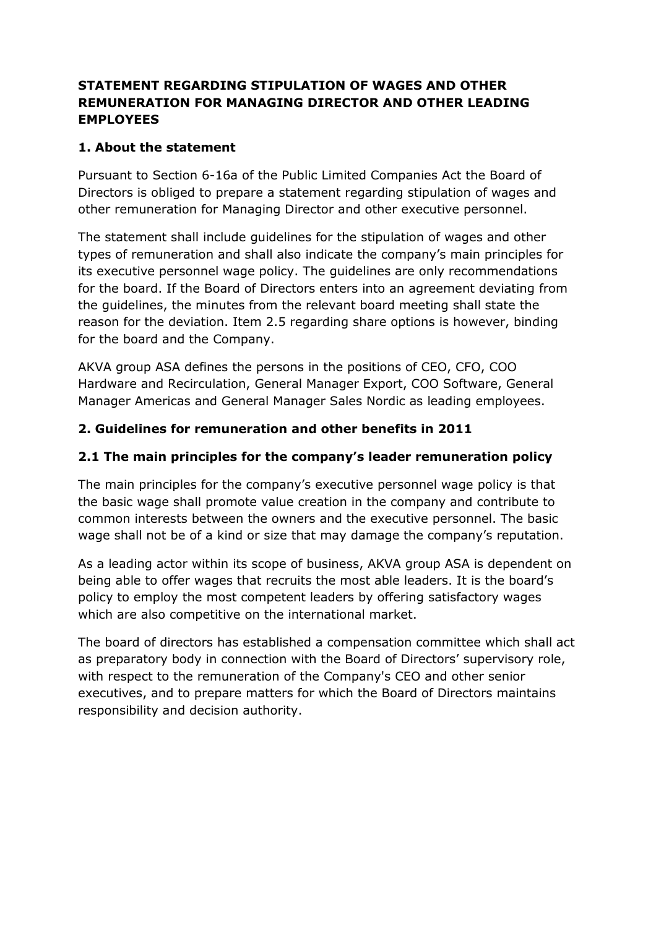## STATEMENT REGARDING STIPULATION OF WAGES AND OTHER REMUNERATION FOR MANAGING DIRECTOR AND OTHER LEADING EMPLOYEES

## 1. About the statement

Pursuant to Section 6-16a of the Public Limited Companies Act the Board of Directors is obliged to prepare a statement regarding stipulation of wages and other remuneration for Managing Director and other executive personnel.

The statement shall include guidelines for the stipulation of wages and other types of remuneration and shall also indicate the company's main principles for its executive personnel wage policy. The guidelines are only recommendations for the board. If the Board of Directors enters into an agreement deviating from the guidelines, the minutes from the relevant board meeting shall state the reason for the deviation. Item 2.5 regarding share options is however, binding for the board and the Company.

AKVA group ASA defines the persons in the positions of CEO, CFO, COO Hardware and Recirculation, General Manager Export, COO Software, General Manager Americas and General Manager Sales Nordic as leading employees.

## 2. Guidelines for remuneration and other benefits in 2011

## 2.1 The main principles for the company's leader remuneration policy

The main principles for the company's executive personnel wage policy is that the basic wage shall promote value creation in the company and contribute to common interests between the owners and the executive personnel. The basic wage shall not be of a kind or size that may damage the company's reputation.

As a leading actor within its scope of business, AKVA group ASA is dependent on being able to offer wages that recruits the most able leaders. It is the board's policy to employ the most competent leaders by offering satisfactory wages which are also competitive on the international market.

The board of directors has established a compensation committee which shall act as preparatory body in connection with the Board of Directors' supervisory role, with respect to the remuneration of the Company's CEO and other senior executives, and to prepare matters for which the Board of Directors maintains responsibility and decision authority.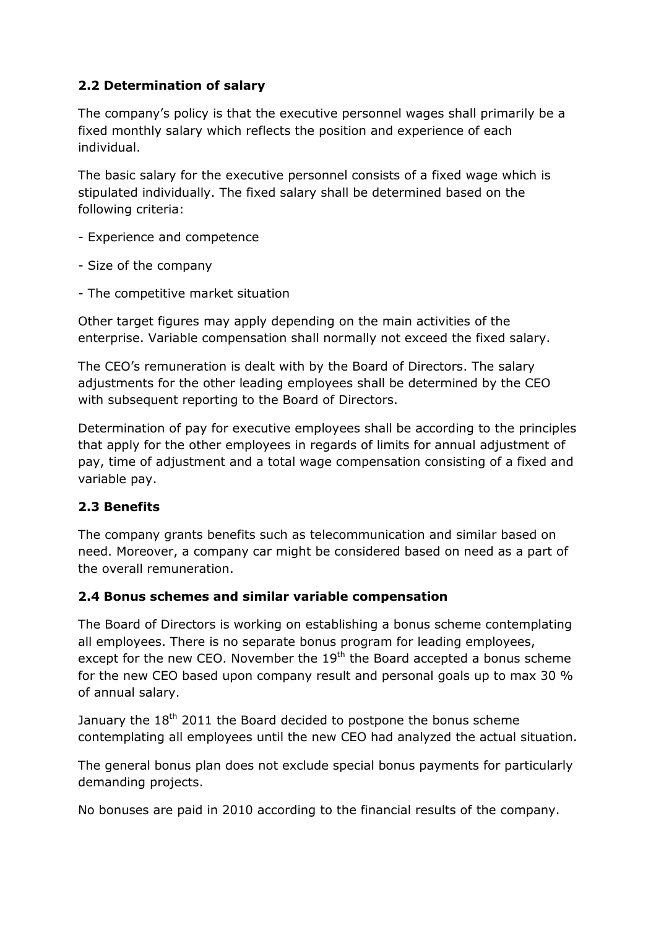# 2.2 Determination of salary

The company's policy is that the executive personnel wages shall primarily be a fixed monthly salary which reflects the position and experience of each individual.

The basic salary for the executive personnel consists of a fixed wage which is stipulated individually. The fixed salary shall be determined based on the following criteria:

- Experience and competence
- Size of the company
- The competitive market situation

Other target figures may apply depending on the main activities of the enterprise. Variable compensation shall normally not exceed the fixed salary.

The CEO's remuneration is dealt with by the Board of Directors. The salary adjustments for the other leading employees shall be determined by the CEO with subsequent reporting to the Board of Directors.

Determination of pay for executive employees shall be according to the principles that apply for the other employees in regards of limits for annual adjustment of pay, time of adjustment and a total wage compensation consisting of a fixed and variable pay.

### 2.3 Benefits

The company grants benefits such as telecommunication and similar based on need. Moreover, a company car might be considered based on need as a part of the overall remuneration.

#### 2.4 Bonus schemes and similar variable compensation

The Board of Directors is working on establishing a bonus scheme contemplating all employees. There is no separate bonus program for leading employees, except for the new CEO. November the 19<sup>th</sup> the Board accepted a bonus scheme for the new CEO based upon company result and personal goals up to max 30 % of annual salary.

January the  $18<sup>th</sup>$  2011 the Board decided to postpone the bonus scheme contemplating all employees until the new CEO had analyzed the actual situation.

The general bonus plan does not exclude special bonus payments for particularly demanding projects.

No bonuses are paid in 2010 according to the financial results of the company.